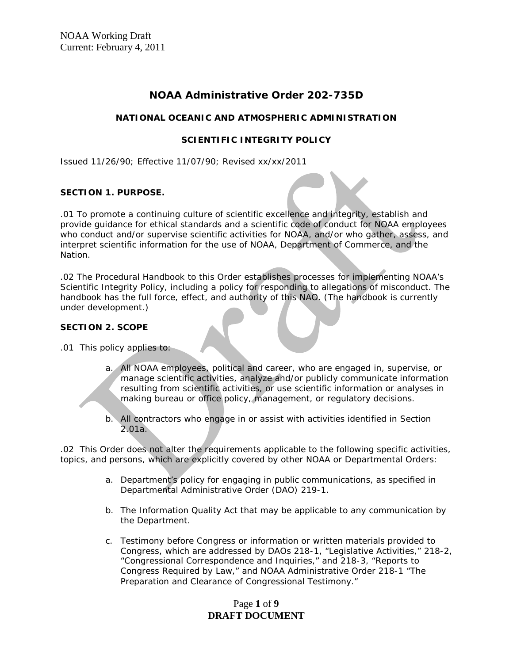# **NOAA Administrative Order 202-735D**

### **NATIONAL OCEANIC AND ATMOSPHERIC ADMINISTRATION**

### **SCIENTIFIC INTEGRITY POLICY**

Issued 11/26/90; Effective 11/07/90; Revised xx/xx/2011

### **SECTION 1. PURPOSE.**

.01 To promote a continuing culture of scientific excellence and integrity, establish and provide guidance for ethical standards and a scientific code of conduct for NOAA employees who conduct and/or supervise scientific activities for NOAA, and/or who gather, assess, and interpret scientific information for the use of NOAA, Department of Commerce, and the Nation.

.02 The Procedural Handbook to this Order establishes processes for implementing NOAA's Scientific Integrity Policy, including a policy for responding to allegations of misconduct. The handbook has the full force, effect, and authority of this NAO. (The handbook is currently under development.)

### **SECTION 2. SCOPE**

.01 This policy applies to:

- a. All NOAA employees, political and career, who are engaged in, supervise, or manage scientific activities, analyze and/or publicly communicate information resulting from scientific activities, or use scientific information or analyses in making bureau or office policy, management, or regulatory decisions.
- b. All contractors who engage in or assist with activities identified in Section 2.01a.

.02 This Order does not alter the requirements applicable to the following specific activities, topics, and persons, which are explicitly covered by other NOAA or Departmental Orders:

- a. Department's policy for engaging in public communications, as specified in Departmental Administrative Order (DAO) 219-1.
- b. The Information Quality Act that may be applicable to any communication by the Department.
- c. Testimony before Congress or information or written materials provided to Congress, which are addressed by DAOs 218-1, "Legislative Activities," 218-2, "Congressional Correspondence and Inquiries," and 218-3, "Reports to Congress Required by Law," and NOAA Administrative Order 218-1 "The Preparation and Clearance of Congressional Testimony."

# Page **1** of **9 DRAFT DOCUMENT**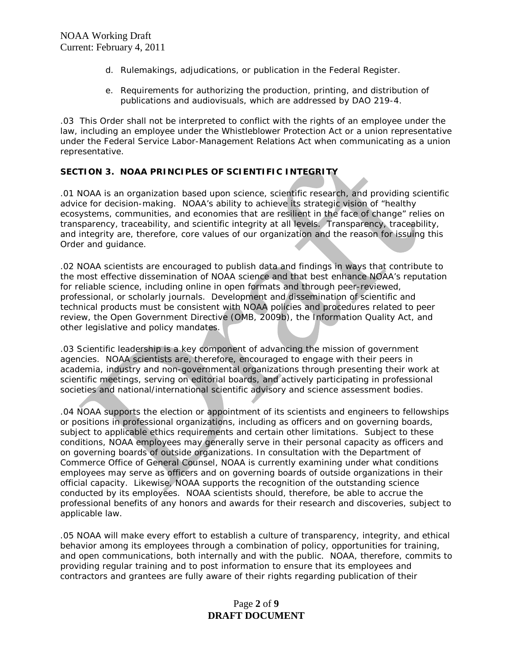- d. Rulemakings, adjudications, or publication in the Federal Register.
- e. Requirements for authorizing the production, printing, and distribution of publications and audiovisuals, which are addressed by DAO 219-4.

.03 This Order shall not be interpreted to conflict with the rights of an employee under the law, including an employee under the Whistleblower Protection Act or a union representative under the Federal Service Labor-Management Relations Act when communicating as a union representative.

### **SECTION 3. NOAA PRINCIPLES OF SCIENTIFIC INTEGRITY**

.01 NOAA is an organization based upon science, scientific research, and providing scientific advice for decision-making. NOAA's ability to achieve its strategic vision of "healthy ecosystems, communities, and economies that are resilient in the face of change" relies on transparency, traceability, and scientific integrity at all levels. Transparency, traceability, and integrity are, therefore, core values of our organization and the reason for issuing this Order and guidance.

.02 NOAA scientists are encouraged to publish data and findings in ways that contribute to the most effective dissemination of NOAA science and that best enhance NOAA's reputation for reliable science, including online in open formats and through peer-reviewed, professional, or scholarly journals. Development and dissemination of scientific and technical products must be consistent with NOAA policies and procedures related to peer review, the Open Government Directive (OMB, 2009b), the Information Quality Act, and other legislative and policy mandates.

.03 Scientific leadership is a key component of advancing the mission of government agencies. NOAA scientists are, therefore, encouraged to engage with their peers in academia, industry and non-governmental organizations through presenting their work at scientific meetings, serving on editorial boards, and actively participating in professional societies and national/international scientific advisory and science assessment bodies.

.04 NOAA supports the election or appointment of its scientists and engineers to fellowships or positions in professional organizations, including as officers and on governing boards, subject to applicable ethics requirements and certain other limitations. Subject to these conditions, NOAA employees may generally serve in their personal capacity as officers and on governing boards of outside organizations. In consultation with the Department of Commerce Office of General Counsel, NOAA is currently examining under what conditions employees may serve as officers and on governing boards of outside organizations in their official capacity. Likewise, NOAA supports the recognition of the outstanding science conducted by its employees. NOAA scientists should, therefore, be able to accrue the professional benefits of any honors and awards for their research and discoveries, subject to applicable law.

.05 NOAA will make every effort to establish a culture of transparency, integrity, and ethical behavior among its employees through a combination of policy, opportunities for training, and open communications, both internally and with the public. NOAA, therefore, commits to providing regular training and to post information to ensure that its employees and contractors and grantees are fully aware of their rights regarding publication of their

# Page **2** of **9 DRAFT DOCUMENT**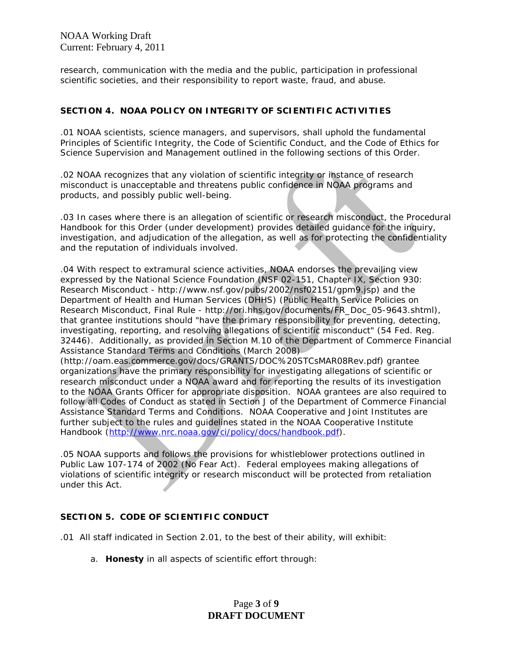research, communication with the media and the public, participation in professional scientific societies, and their responsibility to report waste, fraud, and abuse.

### **SECTION 4. NOAA POLICY ON INTEGRITY OF SCIENTIFIC ACTIVITIES**

.01 NOAA scientists, science managers, and supervisors, shall uphold the fundamental Principles of Scientific Integrity, the Code of Scientific Conduct, and the Code of Ethics for Science Supervision and Management outlined in the following sections of this Order.

.02 NOAA recognizes that any violation of scientific integrity or instance of research misconduct is unacceptable and threatens public confidence in NOAA programs and products, and possibly public well-being.

.03 In cases where there is an allegation of scientific or research misconduct, the Procedural Handbook for this Order (under development) provides detailed guidance for the inquiry, investigation, and adjudication of the allegation, as well as for protecting the confidentiality and the reputation of individuals involved.

.04 With respect to extramural science activities, NOAA endorses the prevailing view expressed by the National Science Foundation (NSF 02-151, Chapter IX, Section 930: Research Misconduct - http://www.nsf.gov/pubs/2002/nsf02151/gpm9.jsp) and the Department of Health and Human Services (DHHS) (Public Health Service Policies on Research Misconduct, Final Rule - http://ori.hhs.gov/documents/FR\_Doc\_05-9643.shtml), that grantee institutions should "have the primary responsibility for preventing, detecting, investigating, reporting, and resolving allegations of scientific misconduct" (54 Fed. Reg. 32446). Additionally, as provided in Section M.10 of the Department of Commerce Financial Assistance Standard Terms and Conditions (March 2008)

(http://oam.eas.commerce.gov/docs/GRANTS/DOC%20STCsMAR08Rev.pdf) grantee organizations have the primary responsibility for investigating allegations of scientific or research misconduct under a NOAA award and for reporting the results of its investigation to the NOAA Grants Officer for appropriate disposition. NOAA grantees are also required to follow all Codes of Conduct as stated in Section J of the Department of Commerce Financial Assistance Standard Terms and Conditions. NOAA Cooperative and Joint Institutes are further subject to the rules and guidelines stated in the NOAA Cooperative Institute Handbook [\(http://www.nrc.noaa.gov/ci/policy/docs/handbook.pdf\)](http://www.nrc.noaa.gov/ci/policy/docs/handbook.pdf).

.05 NOAA supports and follows the provisions for whistleblower protections outlined in Public Law 107-174 of 2002 (No Fear Act). Federal employees making allegations of violations of scientific integrity or research misconduct will be protected from retaliation under this Act.

### **SECTION 5. CODE OF SCIENTIFIC CONDUCT**

- .01 All staff indicated in Section 2.01, to the best of their ability, will exhibit:
	- a. **Honesty** in all aspects of scientific effort through:

# Page **3** of **9 DRAFT DOCUMENT**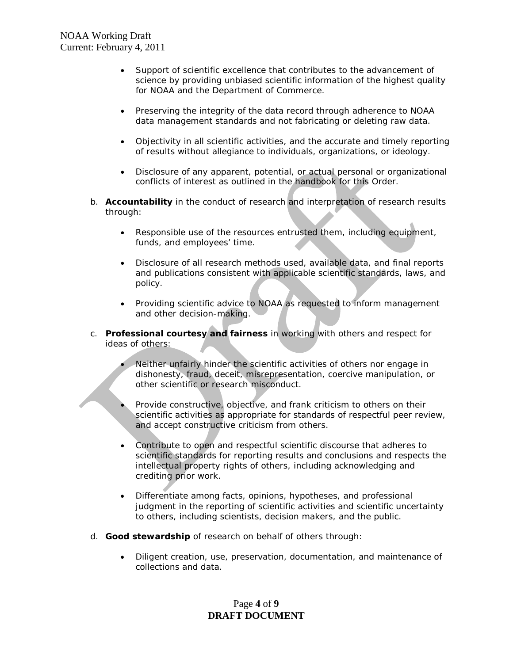- Support of scientific excellence that contributes to the advancement of science by providing unbiased scientific information of the highest quality for NOAA and the Department of Commerce.
- Preserving the integrity of the data record through adherence to NOAA data management standards and not fabricating or deleting raw data.
- Objectivity in all scientific activities, and the accurate and timely reporting of results without allegiance to individuals, organizations, or ideology.
- Disclosure of any apparent, potential, or actual personal or organizational conflicts of interest as outlined in the handbook for this Order.
- b. **Accountability** in the conduct of research and interpretation of research results through:
	- Responsible use of the resources entrusted them, including equipment, funds, and employees' time.
	- Disclosure of all research methods used, available data, and final reports and publications consistent with applicable scientific standards, laws, and policy.
	- Providing scientific advice to NOAA as requested to inform management and other decision-making.
- c. **Professional courtesy and fairness** in working with others and respect for ideas of others:
	- Neither unfairly hinder the scientific activities of others nor engage in dishonesty, fraud, deceit, misrepresentation, coercive manipulation, or other scientific or research misconduct.
	- Provide constructive, objective, and frank criticism to others on their scientific activities as appropriate for standards of respectful peer review, and accept constructive criticism from others.
	- Contribute to open and respectful scientific discourse that adheres to scientific standards for reporting results and conclusions and respects the intellectual property rights of others, including acknowledging and crediting prior work.
	- Differentiate among facts, opinions, hypotheses, and professional judgment in the reporting of scientific activities and scientific uncertainty to others, including scientists, decision makers, and the public.
- d. **Good stewardship** of research on behalf of others through:
	- Diligent creation, use, preservation, documentation, and maintenance of collections and data.

# Page **4** of **9 DRAFT DOCUMENT**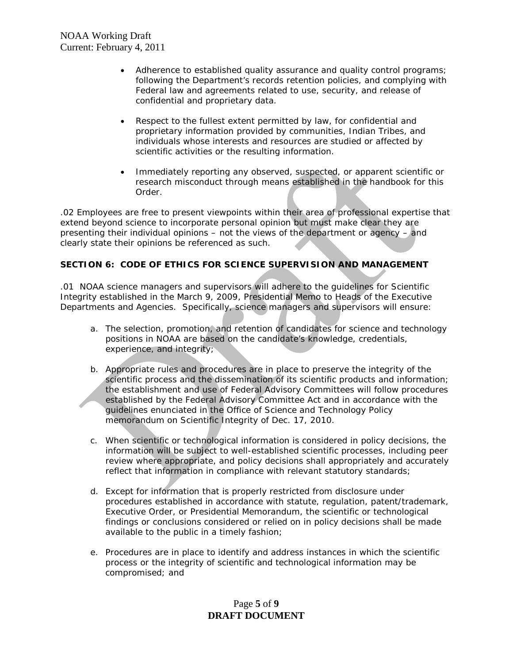- Adherence to established quality assurance and quality control programs; following the Department's records retention policies, and complying with Federal law and agreements related to use, security, and release of confidential and proprietary data.
- Respect to the fullest extent permitted by law, for confidential and proprietary information provided by communities, Indian Tribes, and individuals whose interests and resources are studied or affected by scientific activities or the resulting information.
- Immediately reporting any observed, suspected, or apparent scientific or research misconduct through means established in the handbook for this Order.

.02 Employees are free to present viewpoints within their area of professional expertise that extend beyond science to incorporate personal opinion but must make clear they are presenting their individual opinions – not the views of the department or agency – and clearly state their opinions be referenced as such.

## **SECTION 6: CODE OF ETHICS FOR SCIENCE SUPERVISION AND MANAGEMENT**

.01 NOAA science managers and supervisors will adhere to the guidelines for Scientific Integrity established in the March 9, 2009, *Presidential Memo to Heads of the Executive Departments and Agencies*. Specifically, science managers and supervisors will ensure:

- a. The selection, promotion, and retention of candidates for science and technology positions in NOAA are based on the candidate's knowledge, credentials, experience, and integrity;
- b. Appropriate rules and procedures are in place to preserve the integrity of the scientific process and the dissemination of its scientific products and information; the establishment and use of Federal Advisory Committees will follow procedures established by the Federal Advisory Committee Act and in accordance with the guidelines enunciated in the Office of Science and Technology Policy memorandum on Scientific Integrity of Dec. 17, 2010.
- c. When scientific or technological information is considered in policy decisions, the information will be subject to well-established scientific processes, including peer review where appropriate, and policy decisions shall appropriately and accurately reflect that information in compliance with relevant statutory standards;
- d. Except for information that is properly restricted from disclosure under procedures established in accordance with statute, regulation, patent/trademark, Executive Order, or Presidential Memorandum, the scientific or technological findings or conclusions considered or relied on in policy decisions shall be made available to the public in a timely fashion;
- e. Procedures are in place to identify and address instances in which the scientific process or the integrity of scientific and technological information may be compromised; and

# Page **5** of **9 DRAFT DOCUMENT**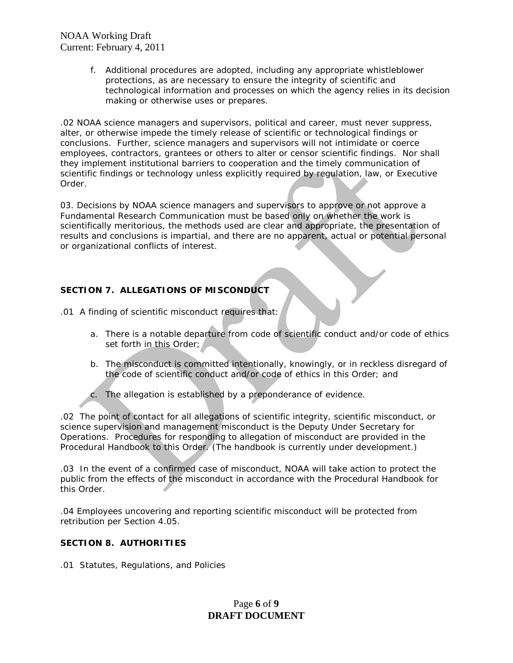> f. Additional procedures are adopted, including any appropriate whistleblower protections, as are necessary to ensure the integrity of scientific and technological information and processes on which the agency relies in its decision making or otherwise uses or prepares.

.02 NOAA science managers and supervisors, political and career, must never suppress, alter, or otherwise impede the timely release of scientific or technological findings or conclusions. Further, science managers and supervisors will not intimidate or coerce employees, contractors, grantees or others to alter or censor scientific findings. Nor shall they implement institutional barriers to cooperation and the timely communication of scientific findings or technology unless explicitly required by regulation, law, or Executive Order.

03. Decisions by NOAA science managers and supervisors to approve or not approve a Fundamental Research Communication must be based only on whether the work is scientifically meritorious, the methods used are clear and appropriate, the presentation of results and conclusions is impartial, and there are no apparent, actual or potential personal or organizational conflicts of interest.

## **SECTION 7. ALLEGATIONS OF MISCONDUCT**

.01 A finding of scientific misconduct requires that:

- a. There is a notable departure from code of scientific conduct and/or code of ethics set forth in this Order;
- b. The misconduct is committed intentionally, knowingly, or in reckless disregard of the code of scientific conduct and/or code of ethics in this Order; and
- c. The allegation is established by a preponderance of evidence.

.02 The point of contact for all allegations of scientific integrity, scientific misconduct, or science supervision and management misconduct is the Deputy Under Secretary for Operations. Procedures for responding to allegation of misconduct are provided in the Procedural Handbook to this Order. (The handbook is currently under development.)

.03 In the event of a confirmed case of misconduct, NOAA will take action to protect the public from the effects of the misconduct in accordance with the Procedural Handbook for this Order.

.04 Employees uncovering and reporting scientific misconduct will be protected from retribution per Section 4.05.

### **SECTION 8. AUTHORITIES**

.01 Statutes, Regulations, and Policies

# Page **6** of **9 DRAFT DOCUMENT**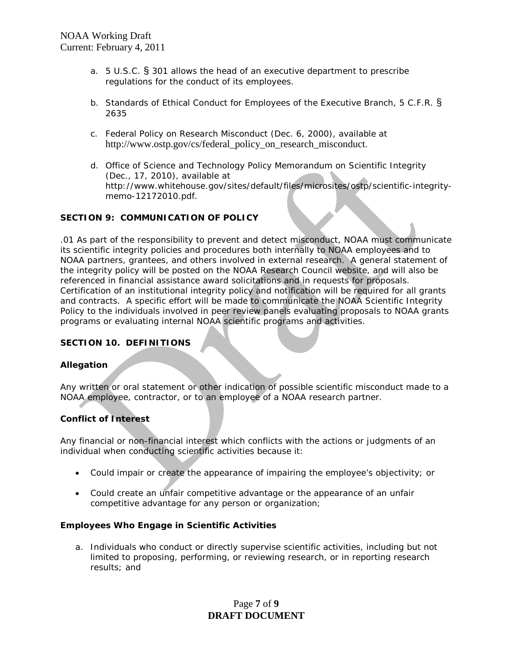- a. 5 U.S.C. § 301 allows the head of an executive department to prescribe regulations for the conduct of its employees.
- b. Standards of Ethical Conduct for Employees of the Executive Branch, 5 C.F.R. § 2635
- c. Federal Policy on Research Misconduct (Dec. 6, 2000), available at http://www.ostp.gov/cs/federal\_policy\_on\_research\_misconduct.
- d. Office of Science and Technology Policy Memorandum on Scientific Integrity (Dec., 17, 2010), available at http://www.whitehouse.gov/sites/default/files/microsites/ostp/scientific-integritymemo-12172010.pdf.

### **SECTION 9: COMMUNICATION OF POLICY**

.01 As part of the responsibility to prevent and detect misconduct, NOAA must communicate its scientific integrity policies and procedures both internally to NOAA employees and to NOAA partners, grantees, and others involved in external research. A general statement of the integrity policy will be posted on the NOAA Research Council website, and will also be referenced in financial assistance award solicitations and in requests for proposals. Certification of an institutional integrity policy and notification will be required for all grants and contracts. A specific effort will be made to communicate the NOAA Scientific Integrity Policy to the individuals involved in peer review panels evaluating proposals to NOAA grants programs or evaluating internal NOAA scientific programs and activities.

### **SECTION 10. DEFINITIONS**

### **Allegation**

Any written or oral statement or other indication of possible scientific misconduct made to a NOAA employee, contractor, or to an employee of a NOAA research partner.

### **Conflict of Interest**

Any financial or non-financial interest which conflicts with the actions or judgments of an individual when conducting scientific activities because it:

- Could impair or create the appearance of impairing the employee's objectivity; or
- Could create an unfair competitive advantage or the appearance of an unfair competitive advantage for any person or organization;

### **Employees Who Engage in Scientific Activities**

a. Individuals who conduct or directly supervise scientific activities, including but not limited to proposing, performing, or reviewing research, or in reporting research results; and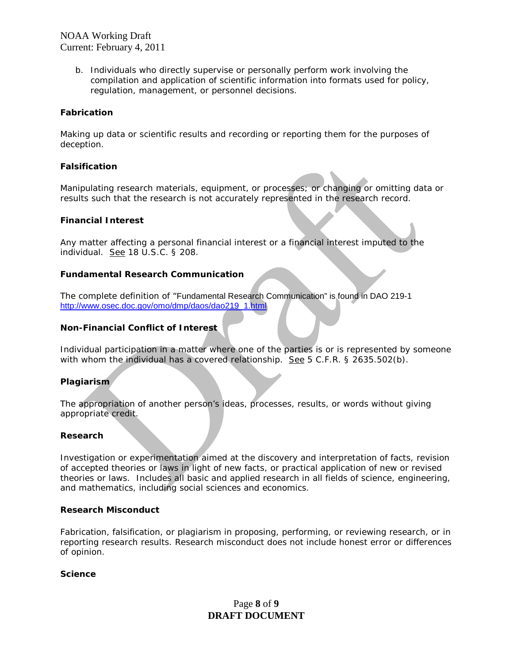> b. Individuals who directly supervise or personally perform work involving the compilation and application of scientific information into formats used for policy, regulation, management, or personnel decisions.

#### **Fabrication**

Making up data or scientific results and recording or reporting them for the purposes of deception.

#### **Falsification**

Manipulating research materials, equipment, or processes; or changing or omitting data or results such that the research is not accurately represented in the research record.

#### **Financial Interest**

Any matter affecting a personal financial interest or a financial interest imputed to the individual. See 18 U.S.C. § 208.

#### **Fundamental Research Communication**

The complete definition of "Fundamental Research Communication" is found in DAO 219-1 [http://www.osec.doc.gov/omo/dmp/daos/dao219\\_1.html](http://www.osec.doc.gov/omo/dmp/daos/dao219_1.html)

#### **Non-Financial Conflict of Interest**

Individual participation in a matter where one of the parties is or is represented by someone with whom the individual has a covered relationship. See 5 C.F.R. § 2635.502(b).

### **Plagiarism**

The appropriation of another person's ideas, processes, results, or words without giving appropriate credit.

#### **Research**

Investigation or experimentation aimed at the discovery and interpretation of facts, revision of accepted theories or laws in light of new facts, or practical application of new or revised theories or laws. Includes all basic and applied research in all fields of science, engineering, and mathematics, including social sciences and economics.

#### **Research Misconduct**

Fabrication, falsification, or plagiarism in proposing, performing, or reviewing research, or in reporting research results. Research misconduct does not include honest error or differences of opinion.

#### **Science**

## Page **8** of **9 DRAFT DOCUMENT**